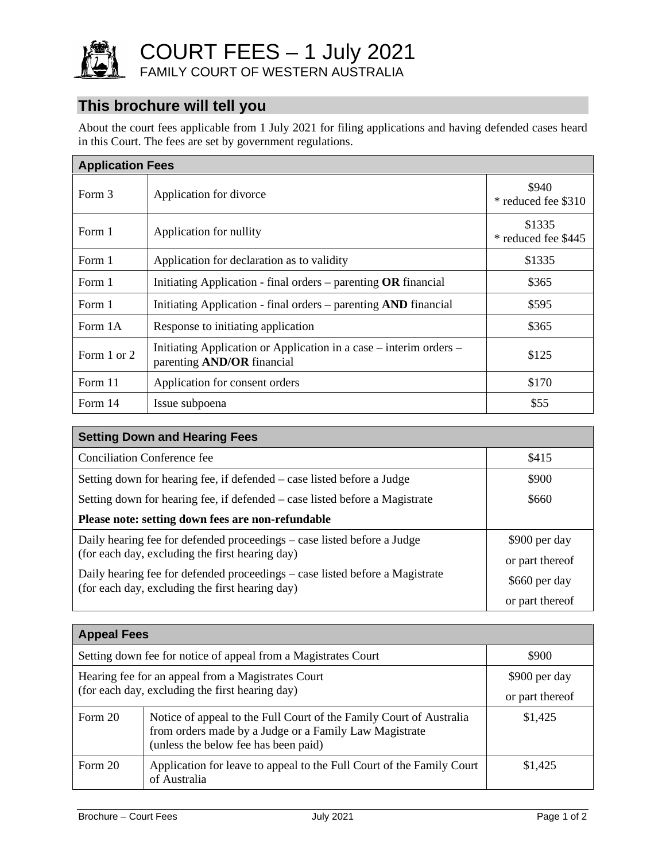

COURT FEES – 1 July 2021

FAMILY COURT OF WESTERN AUSTRALIA

# **This brochure will tell you**

About the court fees applicable from 1 July 2021 for filing applications and having defended cases heard in this Court. The fees are set by government regulations.

| <b>Application Fees</b> |                                                                                                         |                               |  |  |
|-------------------------|---------------------------------------------------------------------------------------------------------|-------------------------------|--|--|
| Form 3                  | Application for divorce                                                                                 | \$940<br>* reduced fee \$310  |  |  |
| Form 1                  | Application for nullity                                                                                 | \$1335<br>* reduced fee \$445 |  |  |
| Form 1                  | Application for declaration as to validity                                                              | \$1335                        |  |  |
| Form 1                  | Initiating Application - final orders $-$ parenting OR financial                                        | \$365                         |  |  |
| Form 1                  | Initiating Application - final orders – parenting AND financial                                         | \$595                         |  |  |
| Form 1A                 | Response to initiating application                                                                      | \$365                         |  |  |
| Form 1 or 2             | Initiating Application or Application in a case – interim orders –<br>parenting <b>AND/OR</b> financial | \$125                         |  |  |
| Form 11                 | Application for consent orders                                                                          | \$170                         |  |  |
| Form 14                 | Issue subpoena                                                                                          | \$55                          |  |  |

| <b>Setting Down and Hearing Fees</b>                                                                                            |                                  |  |  |
|---------------------------------------------------------------------------------------------------------------------------------|----------------------------------|--|--|
| Conciliation Conference fee                                                                                                     | \$415                            |  |  |
| Setting down for hearing fee, if defended – case listed before a Judge                                                          | \$900                            |  |  |
| Setting down for hearing fee, if defended – case listed before a Magistrate                                                     | \$660                            |  |  |
| Please note: setting down fees are non-refundable                                                                               |                                  |  |  |
| Daily hearing fee for defended proceedings – case listed before a Judge<br>(for each day, excluding the first hearing day)      | \$900 per day<br>or part thereof |  |  |
| Daily hearing fee for defended proceedings – case listed before a Magistrate<br>(for each day, excluding the first hearing day) | \$660 per day                    |  |  |
|                                                                                                                                 | or part thereof                  |  |  |

| <b>Appeal Fees</b>                                                                                    |                                                                                                                                                                       |                                  |  |  |
|-------------------------------------------------------------------------------------------------------|-----------------------------------------------------------------------------------------------------------------------------------------------------------------------|----------------------------------|--|--|
| Setting down fee for notice of appeal from a Magistrates Court                                        |                                                                                                                                                                       | \$900                            |  |  |
| Hearing fee for an appeal from a Magistrates Court<br>(for each day, excluding the first hearing day) |                                                                                                                                                                       | \$900 per day<br>or part thereof |  |  |
| Form 20                                                                                               | Notice of appeal to the Full Court of the Family Court of Australia<br>from orders made by a Judge or a Family Law Magistrate<br>(unless the below fee has been paid) | \$1,425                          |  |  |
| Form 20                                                                                               | Application for leave to appeal to the Full Court of the Family Court<br>of Australia                                                                                 | \$1,425                          |  |  |